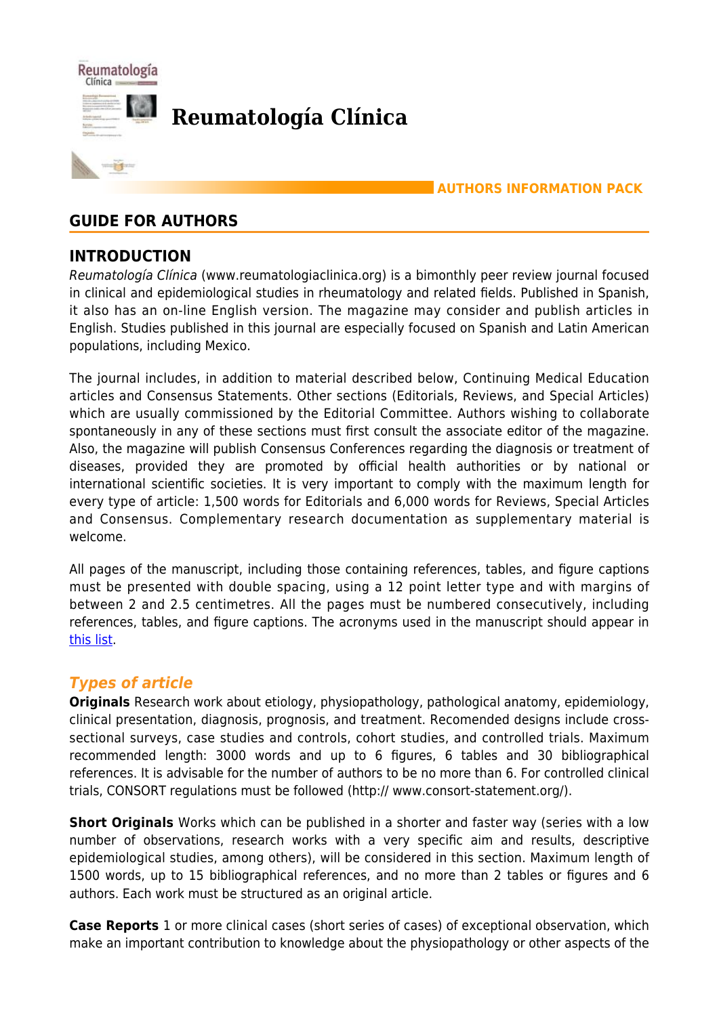



**Reumatología Clínica**

#### **AUTHORS INFORMATION PACK**

## **GUIDE FOR AUTHORS**

### **INTRODUCTION**

Reumatología Clínica (www.reumatologiaclinica.org) is a bimonthly peer review journal focused in clinical and epidemiological studies in rheumatology and related fields. Published in Spanish, it also has an on-line English version. The magazine may consider and publish articles in English. Studies published in this journal are especially focused on Spanish and Latin American populations, including Mexico.

The journal includes, in addition to material described below, Continuing Medical Education articles and Consensus Statements. Other sections (Editorials, Reviews, and Special Articles) which are usually commissioned by the Editorial Committee. Authors wishing to collaborate spontaneously in any of these sections must first consult the associate editor of the magazine. Also, the magazine will publish Consensus Conferences regarding the diagnosis or treatment of diseases, provided they are promoted by official health authorities or by national or international scientific societies. It is very important to comply with the maximum length for every type of article: 1,500 words for Editorials and 6,000 words for Reviews, Special Articles and Consensus. Complementary research documentation as supplementary material is welcome.

All pages of the manuscript, including those containing references, tables, and figure captions must be presented with double spacing, using a 12 point letter type and with margins of between 2 and 2.5 centimetres. All the pages must be numbered consecutively, including references, tables, and figure captions. The acronyms used in the manuscript should appear in [this list](http://www.reumatologiaclinica.org/ficheros/docsrevistas/reumaacronyms.pdf).

## *Types of article*

**Originals** Research work about etiology, physiopathology, pathological anatomy, epidemiology, clinical presentation, diagnosis, prognosis, and treatment. Recomended designs include crosssectional surveys, case studies and controls, cohort studies, and controlled trials. Maximum recommended length: 3000 words and up to 6 figures, 6 tables and 30 bibliographical references. It is advisable for the number of authors to be no more than 6. For controlled clinical trials, CONSORT regulations must be followed (http:// www.consort-statement.org/).

**Short Originals** Works which can be published in a shorter and faster way (series with a low number of observations, research works with a very specific aim and results, descriptive epidemiological studies, among others), will be considered in this section. Maximum length of 1500 words, up to 15 bibliographical references, and no more than 2 tables or figures and 6 authors. Each work must be structured as an original article.

**Case Reports** 1 or more clinical cases (short series of cases) of exceptional observation, which make an important contribution to knowledge about the physiopathology or other aspects of the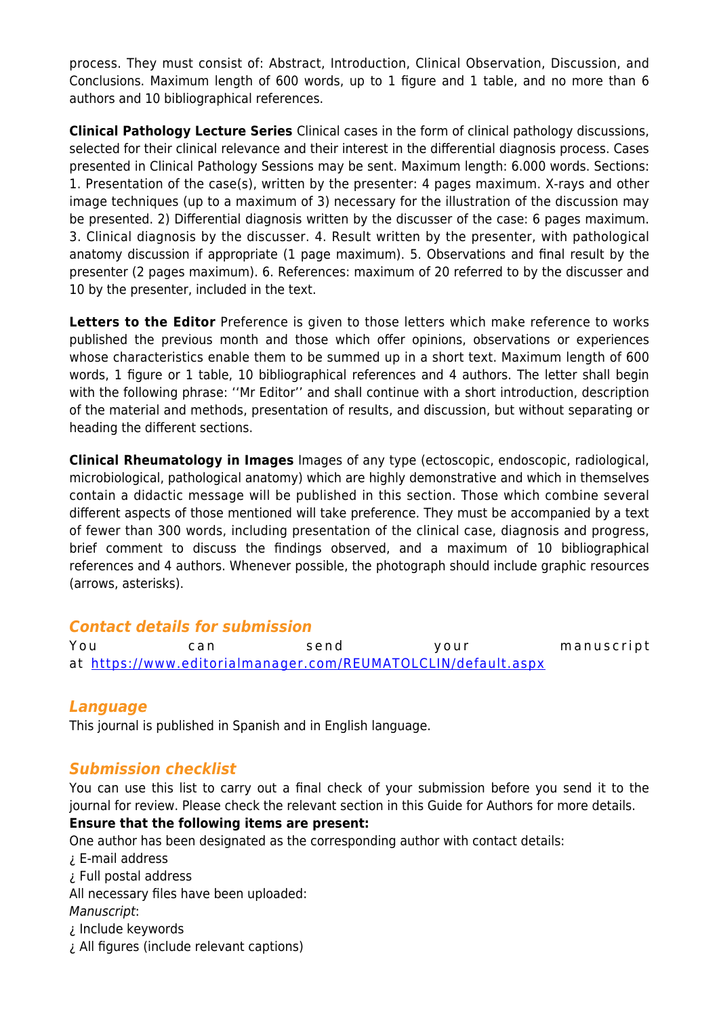process. They must consist of: Abstract, Introduction, Clinical Observation, Discussion, and Conclusions. Maximum length of 600 words, up to 1 figure and 1 table, and no more than 6 authors and 10 bibliographical references.

**Clinical Pathology Lecture Series** Clinical cases in the form of clinical pathology discussions, selected for their clinical relevance and their interest in the differential diagnosis process. Cases presented in Clinical Pathology Sessions may be sent. Maximum length: 6.000 words. Sections: 1. Presentation of the case(s), written by the presenter: 4 pages maximum. X-rays and other image techniques (up to a maximum of 3) necessary for the illustration of the discussion may be presented. 2) Differential diagnosis written by the discusser of the case: 6 pages maximum. 3. Clinical diagnosis by the discusser. 4. Result written by the presenter, with pathological anatomy discussion if appropriate (1 page maximum). 5. Observations and final result by the presenter (2 pages maximum). 6. References: maximum of 20 referred to by the discusser and 10 by the presenter, included in the text.

Letters to the Editor Preference is given to those letters which make reference to works published the previous month and those which offer opinions, observations or experiences whose characteristics enable them to be summed up in a short text. Maximum length of 600 words, 1 figure or 1 table, 10 bibliographical references and 4 authors. The letter shall begin with the following phrase: ''Mr Editor'' and shall continue with a short introduction, description of the material and methods, presentation of results, and discussion, but without separating or heading the different sections.

**Clinical Rheumatology in Images** Images of any type (ectoscopic, endoscopic, radiological, microbiological, pathological anatomy) which are highly demonstrative and which in themselves contain a didactic message will be published in this section. Those which combine several different aspects of those mentioned will take preference. They must be accompanied by a text of fewer than 300 words, including presentation of the clinical case, diagnosis and progress, brief comment to discuss the findings observed, and a maximum of 10 bibliographical references and 4 authors. Whenever possible, the photograph should include graphic resources (arrows, asterisks).

### *Contact details for submission*

You can send your manuscript at<https://www.editorialmanager.com/REUMATOLCLIN/default.aspx>

### *Language*

This journal is published in Spanish and in English language.

## *Submission checklist*

You can use this list to carry out a final check of your submission before you send it to the journal for review. Please check the relevant section in this Guide for Authors for more details.

#### **Ensure that the following items are present:**

One author has been designated as the corresponding author with contact details:

¿ E-mail address ¿ Full postal address All necessary files have been uploaded: Manuscript: ¿ Include keywords

¿ All figures (include relevant captions)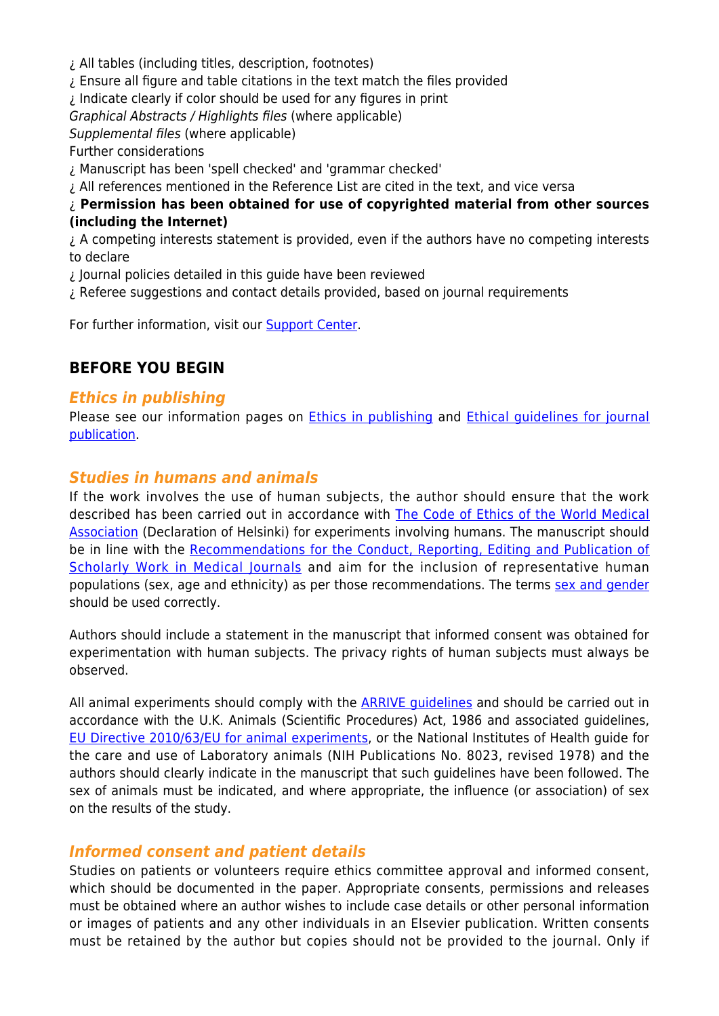- ¿ All tables (including titles, description, footnotes)
- ¿ Ensure all figure and table citations in the text match the files provided
- ¿ Indicate clearly if color should be used for any figures in print
- Graphical Abstracts / Highlights files (where applicable)
- Supplemental files (where applicable)
- Further considerations
- ¿ Manuscript has been 'spell checked' and 'grammar checked'
- ¿ All references mentioned in the Reference List are cited in the text, and vice versa

#### ¿ **Permission has been obtained for use of copyrighted material from other sources (including the Internet)**

 $\mu$  A competing interests statement is provided, even if the authors have no competing interests to declare

- ¿ Journal policies detailed in this guide have been reviewed
- ¿ Referee suggestions and contact details provided, based on journal requirements

For further information, visit our [Support Center.](https://service.elsevier.com/app/home/supporthub/publishing/)

# **BEFORE YOU BEGIN**

### *Ethics in publishing*

Please see our information pages on [Ethics in publishing](https://www.elsevier.com/about/policies/publishing-ethics) and [Ethical guidelines for journal](https://www.elsevier.com/authors/journal-authors/policies-and-ethics) [publication](https://www.elsevier.com/authors/journal-authors/policies-and-ethics).

# *Studies in humans and animals*

If the work involves the use of human subjects, the author should ensure that the work described has been carried out in accordance with [The Code of Ethics of the World Medical](https://www.wma.net/policies-post/wma-declaration-of-helsinki-ethical-principles-for-medical-research-involving-human-subjects/) **Association** (Declaration of Helsinki) for experiments involving humans. The manuscript should be in line with the [Recommendations for the Conduct, Reporting, Editing and Publication of](http://www.icmje.org/recommendations) [Scholarly Work in Medical Journals](http://www.icmje.org/recommendations) and aim for the inclusion of representative human populations (sex, age and ethnicity) as per those recommendations. The terms [sex and gender](https://www.who.int/gender-equity-rights/understanding/gender-definition/en/) should be used correctly.

Authors should include a statement in the manuscript that informed consent was obtained for experimentation with human subjects. The privacy rights of human subjects must always be observed.

All animal experiments should comply with the **ARRIVE guidelines** and should be carried out in accordance with the U.K. Animals (Scientific Procedures) Act, 1986 and associated guidelines, [EU Directive 2010/63/EU for animal experiments,](https://ec.europa.eu/environment/chemicals/lab_animals/legislation_en.htm) or the National Institutes of Health guide for the care and use of Laboratory animals (NIH Publications No. 8023, revised 1978) and the authors should clearly indicate in the manuscript that such guidelines have been followed. The sex of animals must be indicated, and where appropriate, the influence (or association) of sex on the results of the study.

## *Informed consent and patient details*

Studies on patients or volunteers require ethics committee approval and informed consent, which should be documented in the paper. Appropriate consents, permissions and releases must be obtained where an author wishes to include case details or other personal information or images of patients and any other individuals in an Elsevier publication. Written consents must be retained by the author but copies should not be provided to the journal. Only if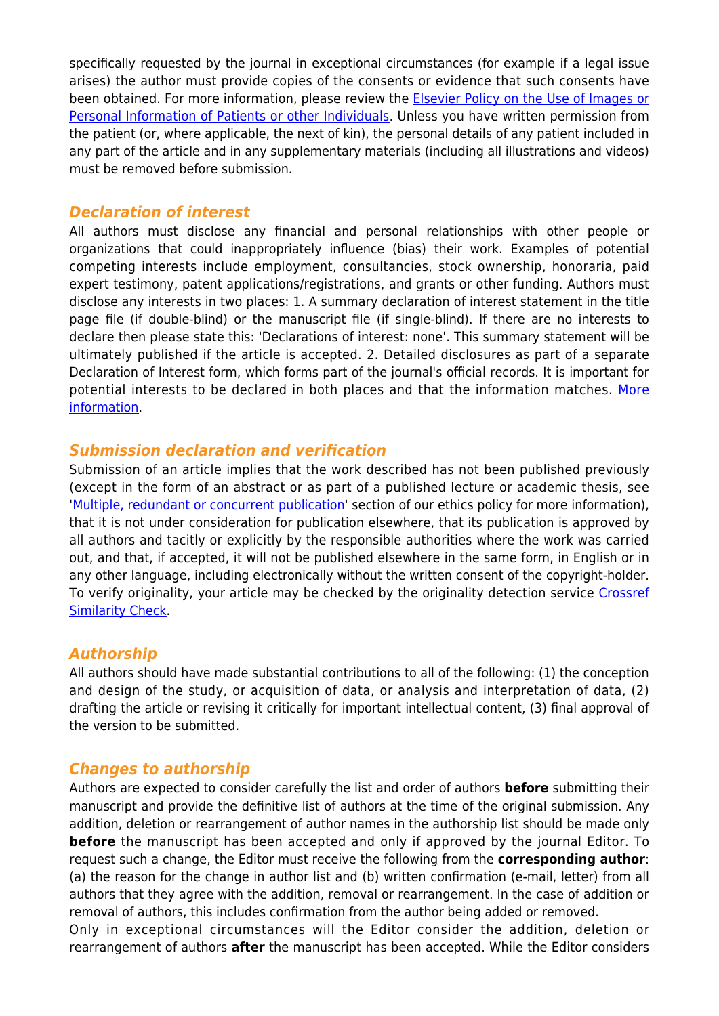specifically requested by the journal in exceptional circumstances (for example if a legal issue arises) the author must provide copies of the consents or evidence that such consents have been obtained. For more information, please review the **[Elsevier Policy on the Use of Images or](https://www.elsevier.com/about/policies/patient-consent)** [Personal Information of Patients or other Individuals](https://www.elsevier.com/about/policies/patient-consent). Unless you have written permission from the patient (or, where applicable, the next of kin), the personal details of any patient included in any part of the article and in any supplementary materials (including all illustrations and videos) must be removed before submission.

#### *Declaration of interest*

All authors must disclose any financial and personal relationships with other people or organizations that could inappropriately influence (bias) their work. Examples of potential competing interests include employment, consultancies, stock ownership, honoraria, paid expert testimony, patent applications/registrations, and grants or other funding. Authors must disclose any interests in two places: 1. A summary declaration of interest statement in the title page file (if double-blind) or the manuscript file (if single-blind). If there are no interests to declare then please state this: 'Declarations of interest: none'. This summary statement will be ultimately published if the article is accepted. 2. Detailed disclosures as part of a separate Declaration of Interest form, which forms part of the journal's official records. It is important for potential interests to be declared in both places and that the information matches. [More](https://service.elsevier.com/app/answers/detail/a_id/286/supporthub/publishing) [information.](https://service.elsevier.com/app/answers/detail/a_id/286/supporthub/publishing)

### *Submission declaration and verification*

Submission of an article implies that the work described has not been published previously (except in the form of an abstract or as part of a published lecture or academic thesis, see '[Multiple, redundant or concurrent publication](http://www.elsevier.com/authors/journal-authors/policies-and-ethics)' section of our ethics policy for more information), that it is not under consideration for publication elsewhere, that its publication is approved by all authors and tacitly or explicitly by the responsible authorities where the work was carried out, and that, if accepted, it will not be published elsewhere in the same form, in English or in any other language, including electronically without the written consent of the copyright-holder. To verify originality, your article may be checked by the originality detection service [Crossref](https://www.elsevier.com/editors/perk/plagiarism-complaints/plagiarism-detection) [Similarity Check.](https://www.elsevier.com/editors/perk/plagiarism-complaints/plagiarism-detection)

### *Authorship*

All authors should have made substantial contributions to all of the following: (1) the conception and design of the study, or acquisition of data, or analysis and interpretation of data, (2) drafting the article or revising it critically for important intellectual content, (3) final approval of the version to be submitted.

### *Changes to authorship*

Authors are expected to consider carefully the list and order of authors **before** submitting their manuscript and provide the definitive list of authors at the time of the original submission. Any addition, deletion or rearrangement of author names in the authorship list should be made only **before** the manuscript has been accepted and only if approved by the journal Editor. To request such a change, the Editor must receive the following from the **corresponding author**: (a) the reason for the change in author list and (b) written confirmation (e-mail, letter) from all authors that they agree with the addition, removal or rearrangement. In the case of addition or removal of authors, this includes confirmation from the author being added or removed.

Only in exceptional circumstances will the Editor consider the addition, deletion or rearrangement of authors **after** the manuscript has been accepted. While the Editor considers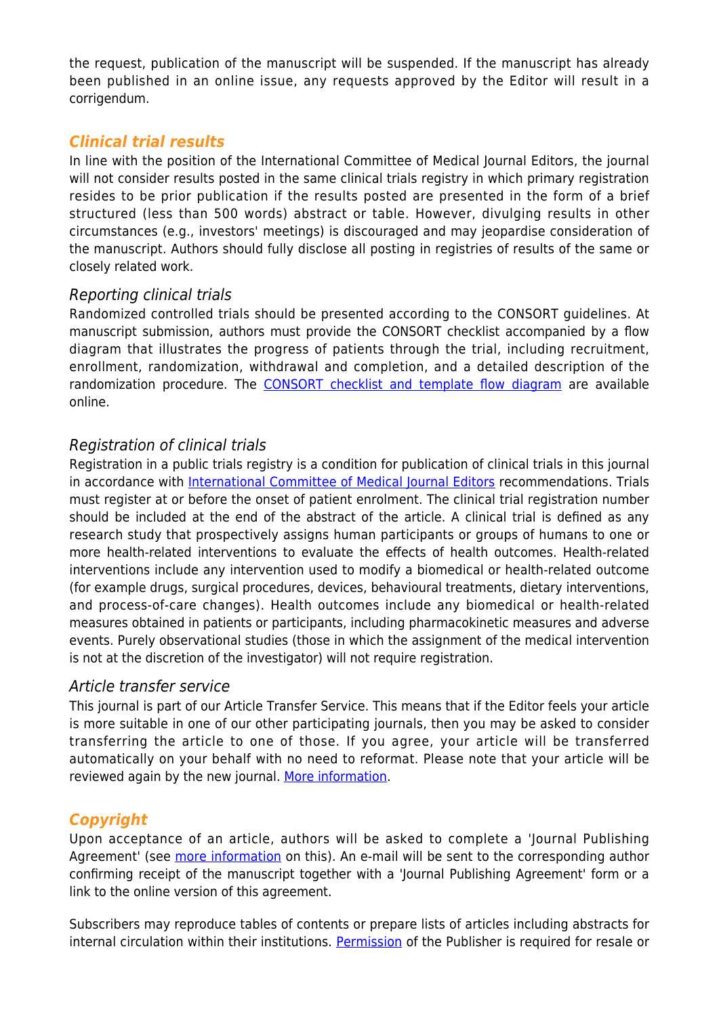the request, publication of the manuscript will be suspended. If the manuscript has already been published in an online issue, any requests approved by the Editor will result in a corrigendum.

# *Clinical trial results*

In line with the position of the International Committee of Medical Journal Editors, the journal will not consider results posted in the same clinical trials registry in which primary registration resides to be prior publication if the results posted are presented in the form of a brief structured (less than 500 words) abstract or table. However, divulging results in other circumstances (e.g., investors' meetings) is discouraged and may jeopardise consideration of the manuscript. Authors should fully disclose all posting in registries of results of the same or closely related work.

### Reporting clinical trials

Randomized controlled trials should be presented according to the CONSORT guidelines. At manuscript submission, authors must provide the CONSORT checklist accompanied by a flow diagram that illustrates the progress of patients through the trial, including recruitment, enrollment, randomization, withdrawal and completion, and a detailed description of the randomization procedure. The [CONSORT checklist and template flow diagram](http://www.consort-statement.org) are available online.

## Registration of clinical trials

Registration in a public trials registry is a condition for publication of clinical trials in this journal in accordance with [International Committee of Medical Journal Editors](http://www.icmje.org) recommendations. Trials must register at or before the onset of patient enrolment. The clinical trial registration number should be included at the end of the abstract of the article. A clinical trial is defined as any research study that prospectively assigns human participants or groups of humans to one or more health-related interventions to evaluate the effects of health outcomes. Health-related interventions include any intervention used to modify a biomedical or health-related outcome (for example drugs, surgical procedures, devices, behavioural treatments, dietary interventions, and process-of-care changes). Health outcomes include any biomedical or health-related measures obtained in patients or participants, including pharmacokinetic measures and adverse events. Purely observational studies (those in which the assignment of the medical intervention is not at the discretion of the investigator) will not require registration.

### Article transfer service

This journal is part of our Article Transfer Service. This means that if the Editor feels your article is more suitable in one of our other participating journals, then you may be asked to consider transferring the article to one of those. If you agree, your article will be transferred automatically on your behalf with no need to reformat. Please note that your article will be reviewed again by the new journal. [More information.](http://www.elsevier.com/authors/article-transfer-service)

# *Copyright*

Upon acceptance of an article, authors will be asked to complete a 'Journal Publishing Agreement' (see [more information](https://www.elsevier.com/about/policies/copyright) on this). An e-mail will be sent to the corresponding author confirming receipt of the manuscript together with a 'Journal Publishing Agreement' form or a link to the online version of this agreement.

Subscribers may reproduce tables of contents or prepare lists of articles including abstracts for internal circulation within their institutions. [Permission](https://www.elsevier.com/about/policies/copyright/permissions) of the Publisher is required for resale or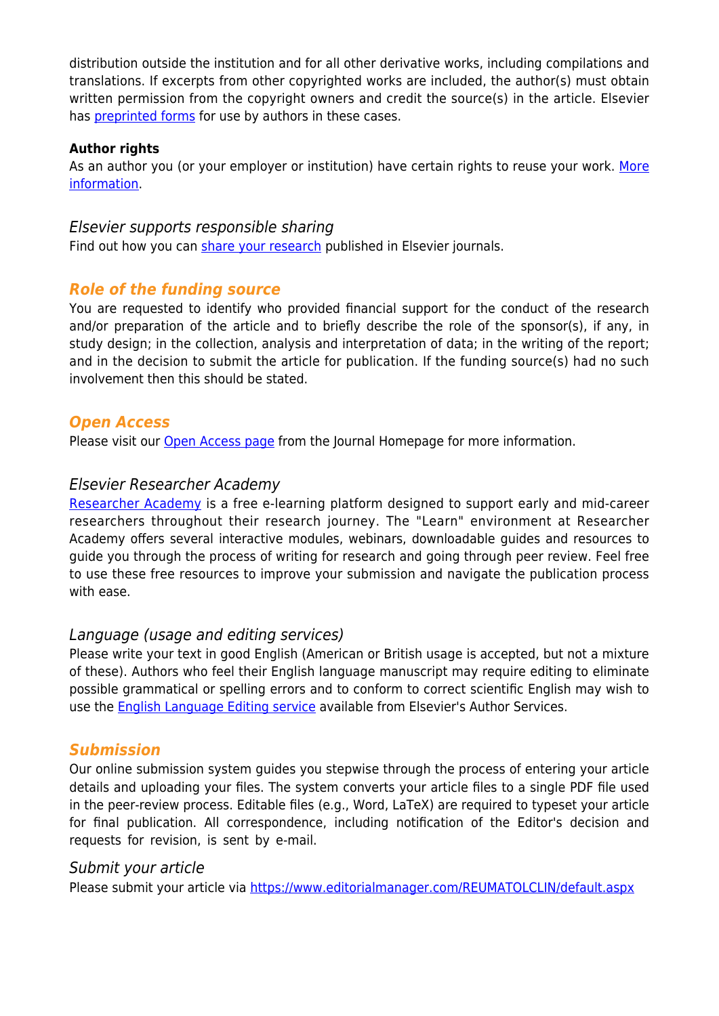distribution outside the institution and for all other derivative works, including compilations and translations. If excerpts from other copyrighted works are included, the author(s) must obtain written permission from the copyright owners and credit the source(s) in the article. Elsevier has [preprinted forms](http://www.elsevier.com/__data/assets/word_doc/0007/98656/Permission-Request-Form.docx) for use by authors in these cases.

#### **Author rights**

As an author you (or your employer or institution) have certain rights to reuse your work. [More](https://www.elsevier.com/about/policies/copyright) [information.](https://www.elsevier.com/about/policies/copyright)

#### Elsevier supports responsible sharing

Find out how you can [share your research](https://www.elsevier.com/authors/journal-authors/submit-your-paper/sharing-and-promoting-your-article) published in Elsevier journals.

### *Role of the funding source*

You are requested to identify who provided financial support for the conduct of the research and/or preparation of the article and to briefly describe the role of the sponsor(s), if any, in study design; in the collection, analysis and interpretation of data; in the writing of the report; and in the decision to submit the article for publication. If the funding source(s) had no such involvement then this should be stated.

### *Open Access*

Please visit our [Open Access page](https://www.reumatologiaclinica.org/en-open-access) from the Journal Homepage for more information.

### Elsevier Researcher Academy

[Researcher Academy](https://researcheracademy.elsevier.com/) is a free e-learning platform designed to support early and mid-career researchers throughout their research journey. The "Learn" environment at Researcher Academy offers several interactive modules, webinars, downloadable guides and resources to guide you through the process of writing for research and going through peer review. Feel free to use these free resources to improve your submission and navigate the publication process with ease.

### Language (usage and editing services)

Please write your text in good English (American or British usage is accepted, but not a mixture of these). Authors who feel their English language manuscript may require editing to eliminate possible grammatical or spelling errors and to conform to correct scientific English may wish to use the [English Language Editing service](https://webshop.elsevier.com/language-editing-services/language-editing/) available from Elsevier's Author Services.

### *Submission*

Our online submission system guides you stepwise through the process of entering your article details and uploading your files. The system converts your article files to a single PDF file used in the peer-review process. Editable files (e.g., Word, LaTeX) are required to typeset your article for final publication. All correspondence, including notification of the Editor's decision and requests for revision, is sent by e-mail.

#### Submit your article

Please submit your article via<https://www.editorialmanager.com/REUMATOLCLIN/default.aspx>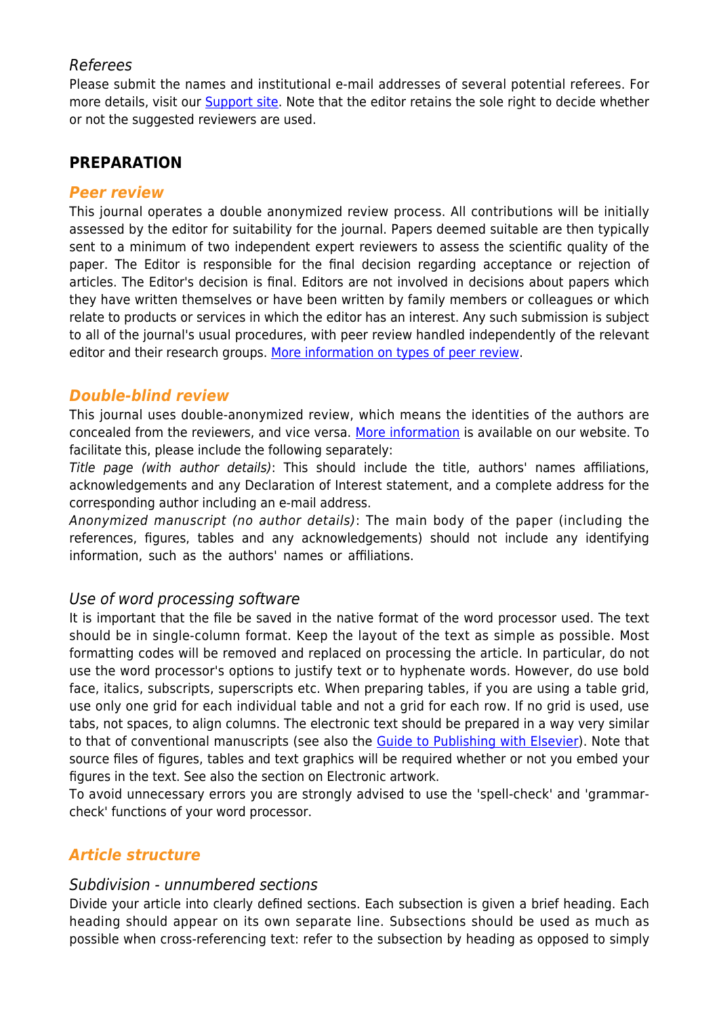### Referees

Please submit the names and institutional e-mail addresses of several potential referees. For more details, visit our [Support site.](https://service.elsevier.com/app/answers/detail/a_id/8238/kw/8238/p/10523/supporthub/publishing) Note that the editor retains the sole right to decide whether or not the suggested reviewers are used.

### **PREPARATION**

#### *Peer review*

This journal operates a double anonymized review process. All contributions will be initially assessed by the editor for suitability for the journal. Papers deemed suitable are then typically sent to a minimum of two independent expert reviewers to assess the scientific quality of the paper. The Editor is responsible for the final decision regarding acceptance or rejection of articles. The Editor's decision is final. Editors are not involved in decisions about papers which they have written themselves or have been written by family members or colleagues or which relate to products or services in which the editor has an interest. Any such submission is subject to all of the journal's usual procedures, with peer review handled independently of the relevant editor and their research groups. [More information on types of peer review](http://www.elsevier.com/reviewers/what-is-peer-review).

### *Double-blind review*

This journal uses double-anonymized review, which means the identities of the authors are concealed from the reviewers, and vice versa. [More information](http://www.elsevier.com/reviewers/what-is-peer-review) is available on our website. To facilitate this, please include the following separately:

Title page (with author details): This should include the title, authors' names affiliations, acknowledgements and any Declaration of Interest statement, and a complete address for the corresponding author including an e-mail address.

Anonymized manuscript (no author details): The main body of the paper (including the references, figures, tables and any acknowledgements) should not include any identifying information, such as the authors' names or affiliations.

## Use of word processing software

It is important that the file be saved in the native format of the word processor used. The text should be in single-column format. Keep the layout of the text as simple as possible. Most formatting codes will be removed and replaced on processing the article. In particular, do not use the word processor's options to justify text or to hyphenate words. However, do use bold face, italics, subscripts, superscripts etc. When preparing tables, if you are using a table grid, use only one grid for each individual table and not a grid for each row. If no grid is used, use tabs, not spaces, to align columns. The electronic text should be prepared in a way very similar to that of conventional manuscripts (see also the [Guide to Publishing with Elsevier](https://www.elsevier.com/authors/journal-authors/submit-your-paper)). Note that source files of figures, tables and text graphics will be required whether or not you embed your figures in the text. See also the section on Electronic artwork.

To avoid unnecessary errors you are strongly advised to use the 'spell-check' and 'grammarcheck' functions of your word processor.

## *Article structure*

### Subdivision - unnumbered sections

Divide your article into clearly defined sections. Each subsection is given a brief heading. Each heading should appear on its own separate line. Subsections should be used as much as possible when cross-referencing text: refer to the subsection by heading as opposed to simply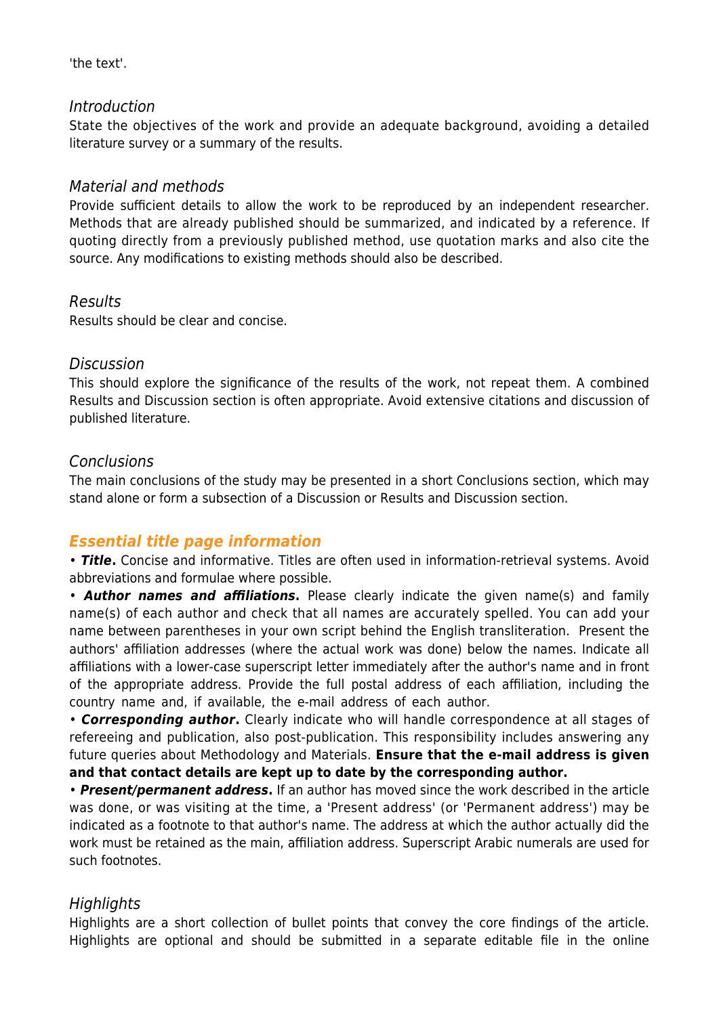'the text'.

#### Introduction

State the objectives of the work and provide an adequate background, avoiding a detailed literature survey or a summary of the results.

### Material and methods

Provide sufficient details to allow the work to be reproduced by an independent researcher. Methods that are already published should be summarized, and indicated by a reference. If quoting directly from a previously published method, use quotation marks and also cite the source. Any modifications to existing methods should also be described.

#### Results

Results should be clear and concise.

### **Discussion**

This should explore the significance of the results of the work, not repeat them. A combined Results and Discussion section is often appropriate. Avoid extensive citations and discussion of published literature.

### Conclusions

The main conclusions of the study may be presented in a short Conclusions section, which may stand alone or form a subsection of a Discussion or Results and Discussion section.

## *Essential title page information*

• *Title***.** Concise and informative. Titles are often used in information-retrieval systems. Avoid abbreviations and formulae where possible.

• *Author names and affiliations***.** Please clearly indicate the given name(s) and family name(s) of each author and check that all names are accurately spelled. You can add your name between parentheses in your own script behind the English transliteration. Present the authors' affiliation addresses (where the actual work was done) below the names. Indicate all affiliations with a lower-case superscript letter immediately after the author's name and in front of the appropriate address. Provide the full postal address of each affiliation, including the country name and, if available, the e-mail address of each author.

• *Corresponding author***.** Clearly indicate who will handle correspondence at all stages of refereeing and publication, also post-publication. This responsibility includes answering any future queries about Methodology and Materials. **Ensure that the e-mail address is given and that contact details are kept up to date by the corresponding author.**

• *Present/permanent address***.** If an author has moved since the work described in the article was done, or was visiting at the time, a 'Present address' (or 'Permanent address') may be indicated as a footnote to that author's name. The address at which the author actually did the work must be retained as the main, affiliation address. Superscript Arabic numerals are used for such footnotes.

### Highlights

Highlights are a short collection of bullet points that convey the core findings of the article. Highlights are optional and should be submitted in a separate editable file in the online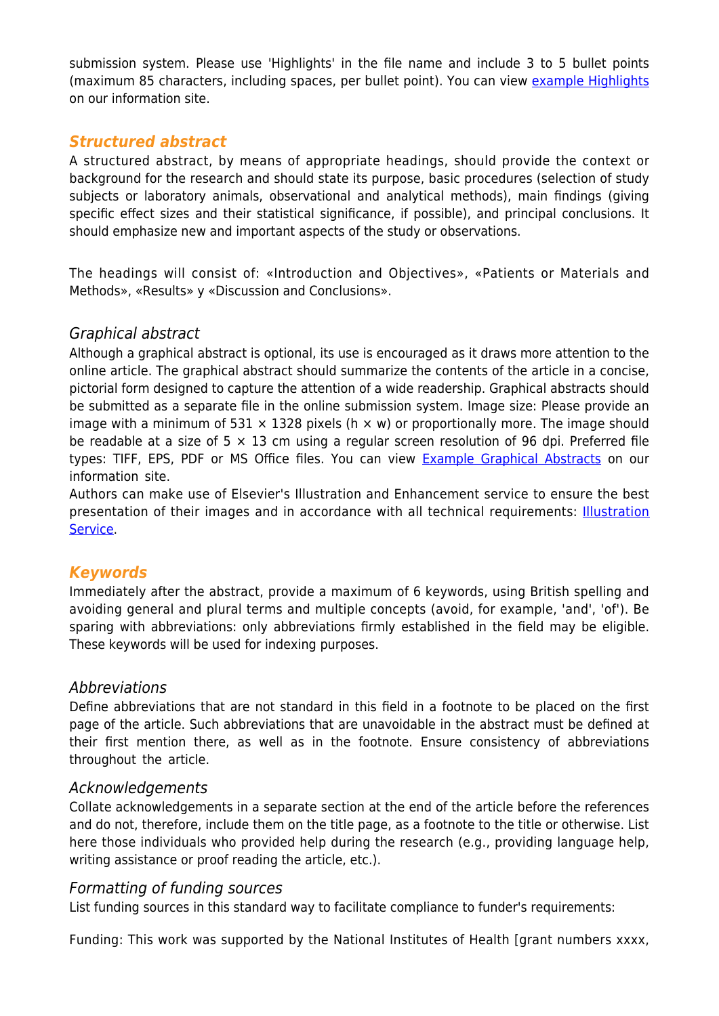submission system. Please use 'Highlights' in the file name and include 3 to 5 bullet points (maximum 85 characters, including spaces, per bullet point). You can view [example Highlights](http://www.elsevier.com/highlights) on our information site.

### *Structured abstract*

A structured abstract, by means of appropriate headings, should provide the context or background for the research and should state its purpose, basic procedures (selection of study subjects or laboratory animals, observational and analytical methods), main findings (giving specific effect sizes and their statistical significance, if possible), and principal conclusions. It should emphasize new and important aspects of the study or observations.

The headings will consist of: «Introduction and Objectives», «Patients or Materials and Methods», «Results» y «Discussion and Conclusions».

### Graphical abstract

Although a graphical abstract is optional, its use is encouraged as it draws more attention to the online article. The graphical abstract should summarize the contents of the article in a concise, pictorial form designed to capture the attention of a wide readership. Graphical abstracts should be submitted as a separate file in the online submission system. Image size: Please provide an image with a minimum of 531  $\times$  1328 pixels (h  $\times$  w) or proportionally more. The image should be readable at a size of 5  $\times$  13 cm using a regular screen resolution of 96 dpi. Preferred file types: TIFF, EPS, PDF or MS Office files. You can view **Example Graphical Abstracts** on our information site.

Authors can make use of Elsevier's Illustration and Enhancement service to ensure the best presentation of their images and in accordance with all technical requirements: **[Illustration](http://webshop.elsevier.com/illustration-services/)** [Service](http://webshop.elsevier.com/illustration-services/).

### *Keywords*

Immediately after the abstract, provide a maximum of 6 keywords, using British spelling and avoiding general and plural terms and multiple concepts (avoid, for example, 'and', 'of'). Be sparing with abbreviations: only abbreviations firmly established in the field may be eligible. These keywords will be used for indexing purposes.

### Abbreviations

Define abbreviations that are not standard in this field in a footnote to be placed on the first page of the article. Such abbreviations that are unavoidable in the abstract must be defined at their first mention there, as well as in the footnote. Ensure consistency of abbreviations throughout the article.

### Acknowledgements

Collate acknowledgements in a separate section at the end of the article before the references and do not, therefore, include them on the title page, as a footnote to the title or otherwise. List here those individuals who provided help during the research (e.g., providing language help, writing assistance or proof reading the article, etc.).

#### Formatting of funding sources

List funding sources in this standard way to facilitate compliance to funder's requirements:

Funding: This work was supported by the National Institutes of Health [grant numbers xxxx,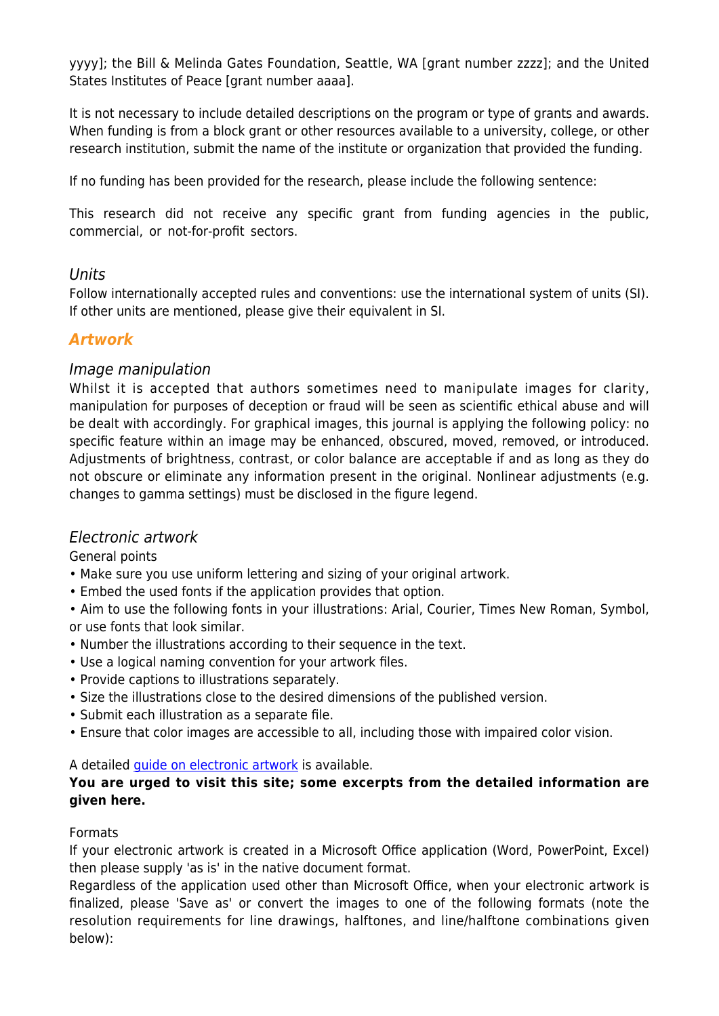yyyy]; the Bill & Melinda Gates Foundation, Seattle, WA [grant number zzzz]; and the United States Institutes of Peace [grant number aaaa].

It is not necessary to include detailed descriptions on the program or type of grants and awards. When funding is from a block grant or other resources available to a university, college, or other research institution, submit the name of the institute or organization that provided the funding.

If no funding has been provided for the research, please include the following sentence:

This research did not receive any specific grant from funding agencies in the public, commercial, or not-for-profit sectors.

### Units

Follow internationally accepted rules and conventions: use the international system of units (SI). If other units are mentioned, please give their equivalent in SI.

### *Artwork*

### Image manipulation

Whilst it is accepted that authors sometimes need to manipulate images for clarity, manipulation for purposes of deception or fraud will be seen as scientific ethical abuse and will be dealt with accordingly. For graphical images, this journal is applying the following policy: no specific feature within an image may be enhanced, obscured, moved, removed, or introduced. Adjustments of brightness, contrast, or color balance are acceptable if and as long as they do not obscure or eliminate any information present in the original. Nonlinear adjustments (e.g. changes to gamma settings) must be disclosed in the figure legend.

## Electronic artwork

General points

- Make sure you use uniform lettering and sizing of your original artwork.
- Embed the used fonts if the application provides that option.

• Aim to use the following fonts in your illustrations: Arial, Courier, Times New Roman, Symbol, or use fonts that look similar.

- Number the illustrations according to their sequence in the text.
- Use a logical naming convention for your artwork files.
- Provide captions to illustrations separately.
- Size the illustrations close to the desired dimensions of the published version.
- Submit each illustration as a separate file.
- Ensure that color images are accessible to all, including those with impaired color vision.

A detailed [guide on electronic artwork](https://www.elsevier.com/authors/author-schemas/artwork-and-media-instructions) is available.

### **You are urged to visit this site; some excerpts from the detailed information are given here.**

### Formats

If your electronic artwork is created in a Microsoft Office application (Word, PowerPoint, Excel) then please supply 'as is' in the native document format.

Regardless of the application used other than Microsoft Office, when your electronic artwork is finalized, please 'Save as' or convert the images to one of the following formats (note the resolution requirements for line drawings, halftones, and line/halftone combinations given below):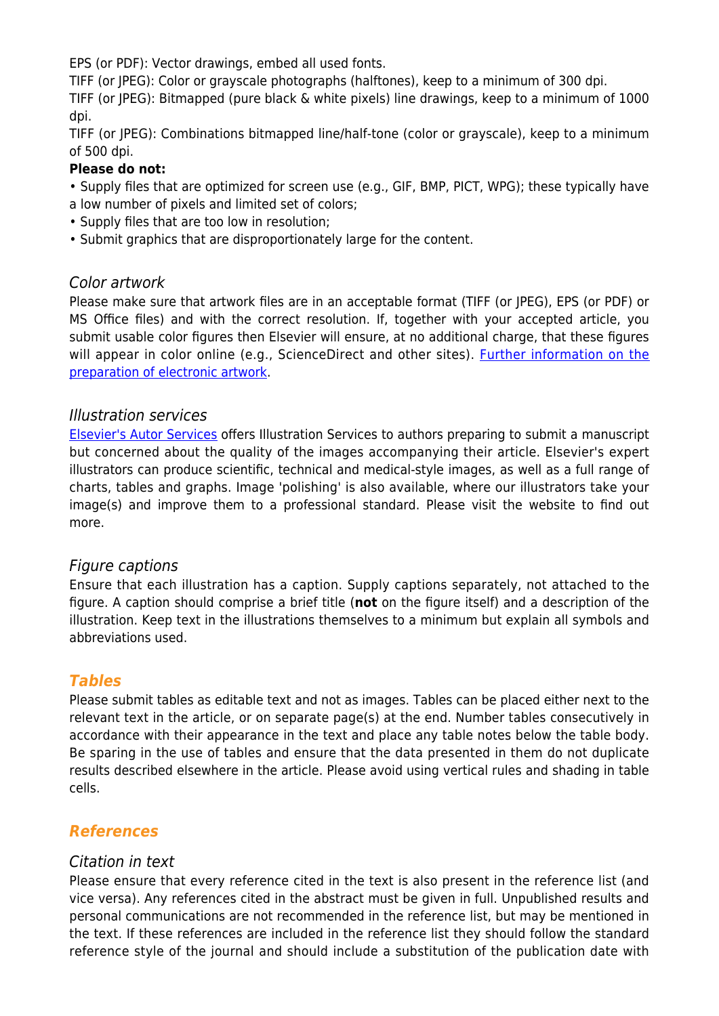EPS (or PDF): Vector drawings, embed all used fonts.

TIFF (or JPEG): Color or grayscale photographs (halftones), keep to a minimum of 300 dpi.

TIFF (or JPEG): Bitmapped (pure black & white pixels) line drawings, keep to a minimum of 1000 dpi.

TIFF (or JPEG): Combinations bitmapped line/half-tone (color or grayscale), keep to a minimum of 500 dpi.

#### **Please do not:**

- Supply files that are optimized for screen use (e.g., GIF, BMP, PICT, WPG); these typically have a low number of pixels and limited set of colors;
- Supply files that are too low in resolution;
- Submit graphics that are disproportionately large for the content.

### Color artwork

Please make sure that artwork files are in an acceptable format (TIFF (or JPEG), EPS (or PDF) or MS Office files) and with the correct resolution. If, together with your accepted article, you submit usable color figures then Elsevier will ensure, at no additional charge, that these figures will appear in color online (e.g., ScienceDirect and other sites). [Further information on the](https://www.elsevier.com/authors/author-schemas/artwork-and-media-instructions) [preparation of electronic artwork](https://www.elsevier.com/authors/author-schemas/artwork-and-media-instructions).

### Illustration services

[Elsevier's Autor Services](https://webshop.elsevier.com/illustration-services/) offers Illustration Services to authors preparing to submit a manuscript but concerned about the quality of the images accompanying their article. Elsevier's expert illustrators can produce scientific, technical and medical-style images, as well as a full range of charts, tables and graphs. Image 'polishing' is also available, where our illustrators take your image(s) and improve them to a professional standard. Please visit the website to find out more.

### Figure captions

Ensure that each illustration has a caption. Supply captions separately, not attached to the figure. A caption should comprise a brief title (**not** on the figure itself) and a description of the illustration. Keep text in the illustrations themselves to a minimum but explain all symbols and abbreviations used.

## *Tables*

Please submit tables as editable text and not as images. Tables can be placed either next to the relevant text in the article, or on separate page(s) at the end. Number tables consecutively in accordance with their appearance in the text and place any table notes below the table body. Be sparing in the use of tables and ensure that the data presented in them do not duplicate results described elsewhere in the article. Please avoid using vertical rules and shading in table cells.

## *References*

### Citation in text

Please ensure that every reference cited in the text is also present in the reference list (and vice versa). Any references cited in the abstract must be given in full. Unpublished results and personal communications are not recommended in the reference list, but may be mentioned in the text. If these references are included in the reference list they should follow the standard reference style of the journal and should include a substitution of the publication date with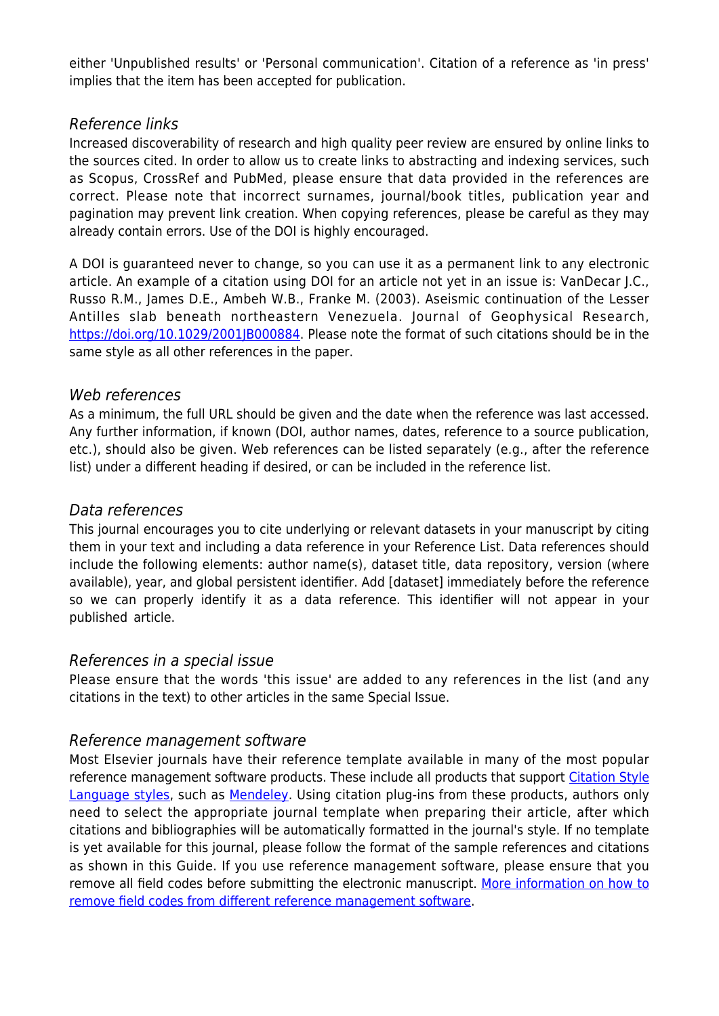either 'Unpublished results' or 'Personal communication'. Citation of a reference as 'in press' implies that the item has been accepted for publication.

### Reference links

Increased discoverability of research and high quality peer review are ensured by online links to the sources cited. In order to allow us to create links to abstracting and indexing services, such as Scopus, CrossRef and PubMed, please ensure that data provided in the references are correct. Please note that incorrect surnames, journal/book titles, publication year and pagination may prevent link creation. When copying references, please be careful as they may already contain errors. Use of the DOI is highly encouraged.

A DOI is guaranteed never to change, so you can use it as a permanent link to any electronic article. An example of a citation using DOI for an article not yet in an issue is: VanDecar J.C., Russo R.M., James D.E., Ambeh W.B., Franke M. (2003). Aseismic continuation of the Lesser Antilles slab beneath northeastern Venezuela. Journal of Geophysical Research, [https://doi.org/10.1029/2001JB000884.](https://doi.org/10.1029/2001JB000884) Please note the format of such citations should be in the same style as all other references in the paper.

### Web references

As a minimum, the full URL should be given and the date when the reference was last accessed. Any further information, if known (DOI, author names, dates, reference to a source publication, etc.), should also be given. Web references can be listed separately (e.g., after the reference list) under a different heading if desired, or can be included in the reference list.

### Data references

This journal encourages you to cite underlying or relevant datasets in your manuscript by citing them in your text and including a data reference in your Reference List. Data references should include the following elements: author name(s), dataset title, data repository, version (where available), year, and global persistent identifier. Add [dataset] immediately before the reference so we can properly identify it as a data reference. This identifier will not appear in your published article.

### References in a special issue

Please ensure that the words 'this issue' are added to any references in the list (and any citations in the text) to other articles in the same Special Issue.

## Reference management software

Most Elsevier journals have their reference template available in many of the most popular reference management software products. These include all products that support [Citation Style](https://citationstyles.org) [Language styles,](https://citationstyles.org) such as [Mendeley.](https://www.mendeley.com/reference-management/reference-manager/) Using citation plug-ins from these products, authors only need to select the appropriate journal template when preparing their article, after which citations and bibliographies will be automatically formatted in the journal's style. If no template is yet available for this journal, please follow the format of the sample references and citations as shown in this Guide. If you use reference management software, please ensure that you remove all field codes before submitting the electronic manuscript. [More information on how to](https://service.elsevier.com/app/answers/detail/a_id/26093) [remove field codes from different reference management software](https://service.elsevier.com/app/answers/detail/a_id/26093).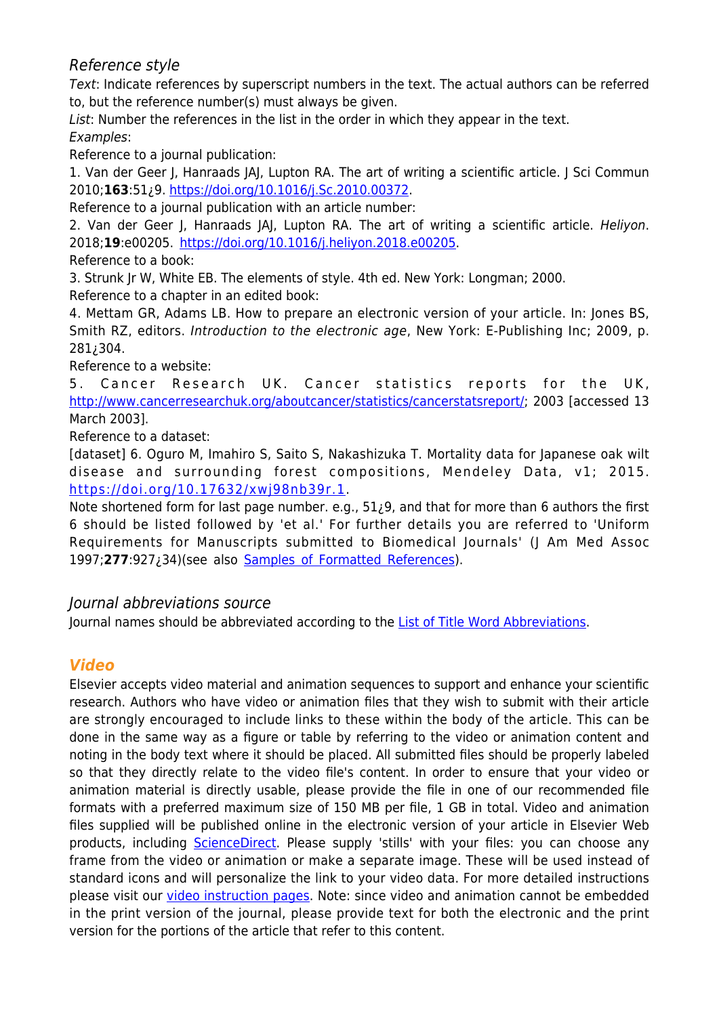## Reference style

Text: Indicate references by superscript numbers in the text. The actual authors can be referred to, but the reference number(s) must always be given.

List: Number the references in the list in the order in which they appear in the text.

Examples:

Reference to a journal publication:

1. Van der Geer J, Hanraads JAJ, Lupton RA. The art of writing a scientific article. J Sci Commun 2010;**163**:51¿9. [https://doi.org/10.1016/j.Sc.2010.00372.](https://doi.org/10.1016/j.Sc.2010.00372)

Reference to a journal publication with an article number:

2. Van der Geer J, Hanraads JAJ, Lupton RA. The art of writing a scientific article. Heliyon. 2018;**19**:e00205. [https://doi.org/10.1016/j.heliyon.2018.e00205.](https://doi.org/10.1016/j.heliyon.2018.e00205)

Reference to a book:

3. Strunk Jr W, White EB. The elements of style. 4th ed. New York: Longman; 2000.

Reference to a chapter in an edited book:

4. Mettam GR, Adams LB. How to prepare an electronic version of your article. In: Jones BS, Smith RZ, editors. Introduction to the electronic age, New York: E-Publishing Inc; 2009, p. 281¿304.

Reference to a website:

5. Cancer Research UK. Cancer statistics reports for the UK, <http://www.cancerresearchuk.org/aboutcancer/statistics/cancerstatsreport/>; 2003 [accessed 13 March 2003].

Reference to a dataset:

[dataset] 6. Oguro M, Imahiro S, Saito S, Nakashizuka T. Mortality data for Japanese oak wilt disease and surrounding forest compositions, Mendeley Data, v1; 2015. <https://doi.org/10.17632/xwj98nb39r.1>.

Note shortened form for last page number. e.g., 51¿9, and that for more than 6 authors the first 6 should be listed followed by 'et al.' For further details you are referred to 'Uniform Requirements for Manuscripts submitted to Biomedical Journals' (J Am Med Assoc 1997;**277**:927¿34)(see also [Samples of Formatted References\)](https://www.nlm.nih.gov/bsd/uniform_requirements.html).

## Journal abbreviations source

Journal names should be abbreviated according to the [List of Title Word Abbreviations](https://www.issn.org/services/online-services/access-to-the-ltwa/).

# *Video*

Elsevier accepts video material and animation sequences to support and enhance your scientific research. Authors who have video or animation files that they wish to submit with their article are strongly encouraged to include links to these within the body of the article. This can be done in the same way as a figure or table by referring to the video or animation content and noting in the body text where it should be placed. All submitted files should be properly labeled so that they directly relate to the video file's content. In order to ensure that your video or animation material is directly usable, please provide the file in one of our recommended file formats with a preferred maximum size of 150 MB per file, 1 GB in total. Video and animation files supplied will be published online in the electronic version of your article in Elsevier Web products, including **ScienceDirect**. Please supply 'stills' with your files: you can choose any frame from the video or animation or make a separate image. These will be used instead of standard icons and will personalize the link to your video data. For more detailed instructions please visit our [video instruction pages](https://www.elsevier.com/authors/author-schemas/artwork-and-media-instructions). Note: since video and animation cannot be embedded in the print version of the journal, please provide text for both the electronic and the print version for the portions of the article that refer to this content.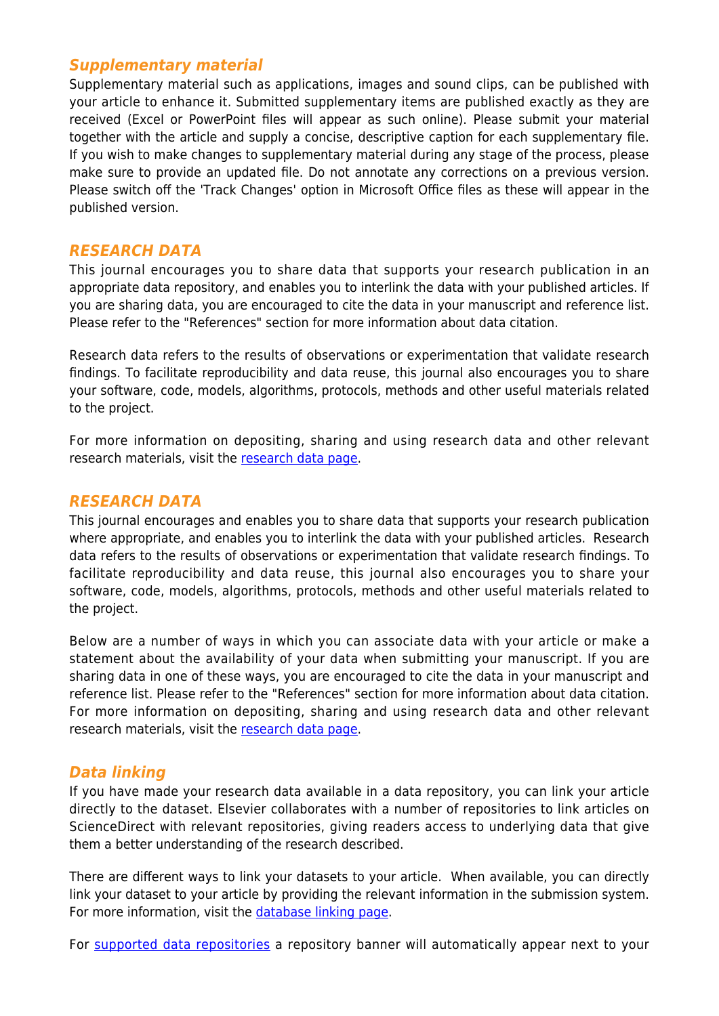#### *Supplementary material*

Supplementary material such as applications, images and sound clips, can be published with your article to enhance it. Submitted supplementary items are published exactly as they are received (Excel or PowerPoint files will appear as such online). Please submit your material together with the article and supply a concise, descriptive caption for each supplementary file. If you wish to make changes to supplementary material during any stage of the process, please make sure to provide an updated file. Do not annotate any corrections on a previous version. Please switch off the 'Track Changes' option in Microsoft Office files as these will appear in the published version.

#### *RESEARCH DATA*

This journal encourages you to share data that supports your research publication in an appropriate data repository, and enables you to interlink the data with your published articles. If you are sharing data, you are encouraged to cite the data in your manuscript and reference list. Please refer to the "References" section for more information about data citation.

Research data refers to the results of observations or experimentation that validate research findings. To facilitate reproducibility and data reuse, this journal also encourages you to share your software, code, models, algorithms, protocols, methods and other useful materials related to the project.

For more information on depositing, sharing and using research data and other relevant research materials, visit the [research data page](https://www.elsevier.com/authors/tools-and-resources/research-data).

#### *RESEARCH DATA*

This journal encourages and enables you to share data that supports your research publication where appropriate, and enables you to interlink the data with your published articles. Research data refers to the results of observations or experimentation that validate research findings. To facilitate reproducibility and data reuse, this journal also encourages you to share your software, code, models, algorithms, protocols, methods and other useful materials related to the project.

Below are a number of ways in which you can associate data with your article or make a statement about the availability of your data when submitting your manuscript. If you are sharing data in one of these ways, you are encouraged to cite the data in your manuscript and reference list. Please refer to the "References" section for more information about data citation. For more information on depositing, sharing and using research data and other relevant research materials, visit the [research data page](https://www.elsevier.com/authors/author-resources/research-data).

### *Data linking*

If you have made your research data available in a data repository, you can link your article directly to the dataset. Elsevier collaborates with a number of repositories to link articles on ScienceDirect with relevant repositories, giving readers access to underlying data that give them a better understanding of the research described.

There are different ways to link your datasets to your article. When available, you can directly link your dataset to your article by providing the relevant information in the submission system. For more information, visit the [database linking page.](https://www.elsevier.com/authors/tools-and-resources/research-data/data-base-linking)

For [supported data repositories](https://www.elsevier.com/authors/tools-and-resources/research-data/data-base-linking#repositories) a repository banner will automatically appear next to your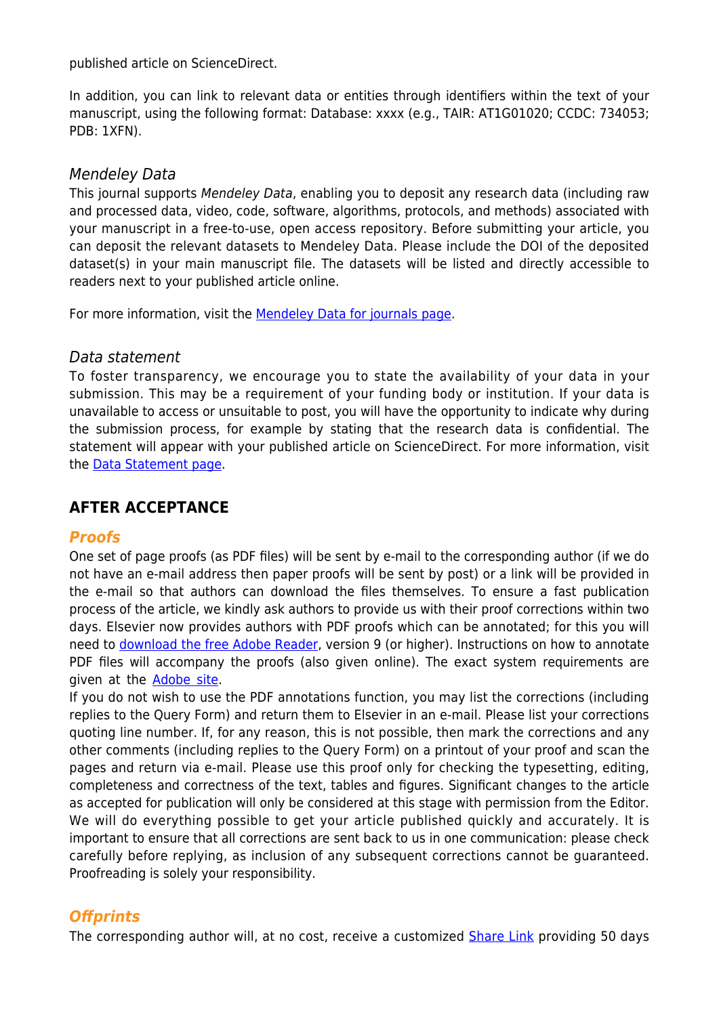published article on ScienceDirect.

In addition, you can link to relevant data or entities through identifiers within the text of your manuscript, using the following format: Database: xxxx (e.g., TAIR: AT1G01020; CCDC: 734053; PDB: 1XFN).

### Mendeley Data

This journal supports Mendeley Data, enabling you to deposit any research data (including raw and processed data, video, code, software, algorithms, protocols, and methods) associated with your manuscript in a free-to-use, open access repository. Before submitting your article, you can deposit the relevant datasets to Mendeley Data. Please include the DOI of the deposited dataset(s) in your main manuscript file. The datasets will be listed and directly accessible to readers next to your published article online.

For more information, visit the [Mendeley Data for journals page.](https://www.elsevier.com/authors/author-services/research-data/mendeley-data-for-journals)

### Data statement

To foster transparency, we encourage you to state the availability of your data in your submission. This may be a requirement of your funding body or institution. If your data is unavailable to access or unsuitable to post, you will have the opportunity to indicate why during the submission process, for example by stating that the research data is confidential. The statement will appear with your published article on ScienceDirect. For more information, visit the [Data Statement page.](https://www.elsevier.com/authors/tools-and-resources/research-data/data-statement)

# **AFTER ACCEPTANCE**

#### *Proofs*

One set of page proofs (as PDF files) will be sent by e-mail to the corresponding author (if we do not have an e-mail address then paper proofs will be sent by post) or a link will be provided in the e-mail so that authors can download the files themselves. To ensure a fast publication process of the article, we kindly ask authors to provide us with their proof corrections within two days. Elsevier now provides authors with PDF proofs which can be annotated; for this you will need to [download the free Adobe Reader](https://get.adobe.com/reader), version 9 (or higher). Instructions on how to annotate PDF files will accompany the proofs (also given online). The exact system requirements are given at the [Adobe site.](https://helpx.adobe.com/reader/system-requirements.html)

If you do not wish to use the PDF annotations function, you may list the corrections (including replies to the Query Form) and return them to Elsevier in an e-mail. Please list your corrections quoting line number. If, for any reason, this is not possible, then mark the corrections and any other comments (including replies to the Query Form) on a printout of your proof and scan the pages and return via e-mail. Please use this proof only for checking the typesetting, editing, completeness and correctness of the text, tables and figures. Significant changes to the article as accepted for publication will only be considered at this stage with permission from the Editor. We will do everything possible to get your article published quickly and accurately. It is important to ensure that all corrections are sent back to us in one communication: please check carefully before replying, as inclusion of any subsequent corrections cannot be guaranteed. Proofreading is solely your responsibility.

## *Offprints*

The corresponding author will, at no cost, receive a customized **Share Link** providing 50 days